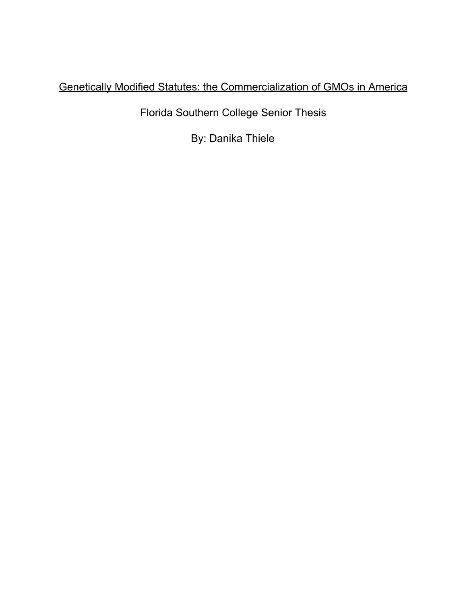# Genetically Modified Statutes: the Commercialization of GMOs in America

Florida Southern College Senior Thesis

By: Danika Thiele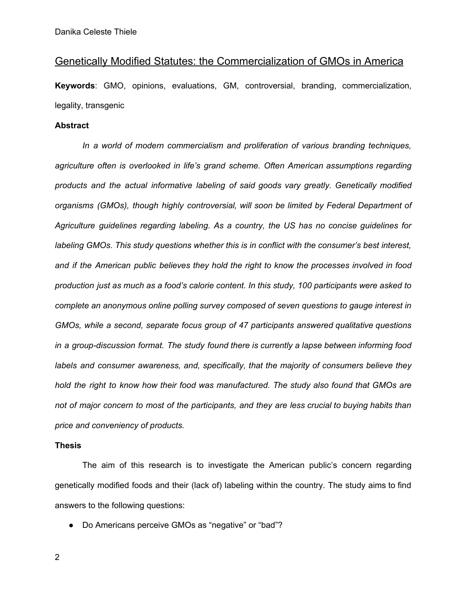## Genetically Modified Statutes: the Commercialization of GMOs in America

**Keywords**: GMO, opinions, evaluations, GM, controversial, branding, commercialization, legality, transgenic

## **Abstract**

*In a world of modern commercialism and proliferation of various branding techniques, agriculture often is overlooked in life's grand scheme. Often American assumptions regarding products and the actual informative labeling of said goods vary greatly. Genetically modified organisms (GMOs), though highly controversial, will soon be limited by Federal Department of Agriculture guidelines regarding labeling. As a country, the US has no concise guidelines for labeling GMOs. This study questions whether this is in conflict with the consumer's best interest, and if the American public believes they hold the right to know the processes involved in food production just as much as a food's calorie content. In this study, 100 participants were asked to complete an anonymous online polling survey composed of seven questions to gauge interest in GMOs, while a second, separate focus group of 47 participants answered qualitative questions in a group-discussion format. The study found there is currently a lapse between informing food labels and consumer awareness, and, specifically, that the majority of consumers believe they hold the right to know how their food was manufactured. The study also found that GMOs are not of major concern to most of the participants, and they are less crucial to buying habits than price and conveniency of products.*

### **Thesis**

The aim of this research is to investigate the American public's concern regarding genetically modified foods and their (lack of) labeling within the country. The study aims to find answers to the following questions:

● Do Americans perceive GMOs as "negative" or "bad"?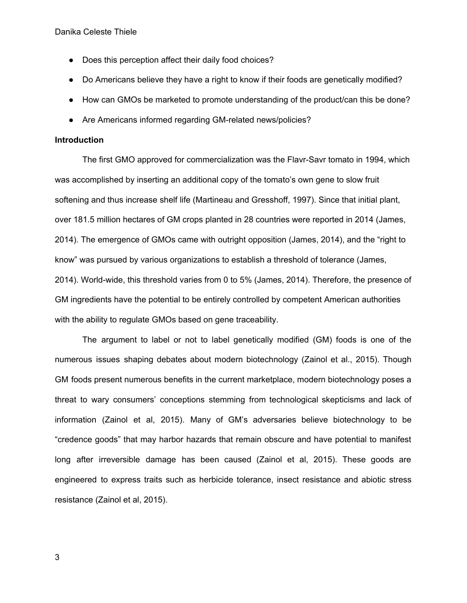- Does this perception affect their daily food choices?
- Do Americans believe they have a right to know if their foods are genetically modified?
- How can GMOs be marketed to promote understanding of the product/can this be done?
- Are Americans informed regarding GM-related news/policies?

## **Introduction**

The first GMO approved for commercialization was the Flavr-Savr tomato in 1994, which was accomplished by inserting an additional copy of the tomato's own gene to slow fruit softening and thus increase shelf life (Martineau and Gresshoff, 1997). Since that initial plant, over 181.5 million hectares of GM crops planted in 28 countries were reported in 2014 (James, 2014). The emergence of GMOs came with outright opposition (James, 2014), and the "right to know" was pursued by various organizations to establish a threshold of tolerance (James, 2014). World-wide, this threshold varies from 0 to 5% (James, 2014). Therefore, the presence of GM ingredients have the potential to be entirely controlled by competent American authorities with the ability to regulate GMOs based on gene traceability.

The argument to label or not to label genetically modified (GM) foods is one of the numerous issues shaping debates about modern biotechnology (Zainol et al., 2015). Though GM foods present numerous benefits in the current marketplace, modern biotechnology poses a threat to wary consumers' conceptions stemming from technological skepticisms and lack of information (Zainol et al, 2015). Many of GM's adversaries believe biotechnology to be "credence goods" that may harbor hazards that remain obscure and have potential to manifest long after irreversible damage has been caused (Zainol et al, 2015). These goods are engineered to express traits such as herbicide tolerance, insect resistance and abiotic stress resistance (Zainol et al, 2015).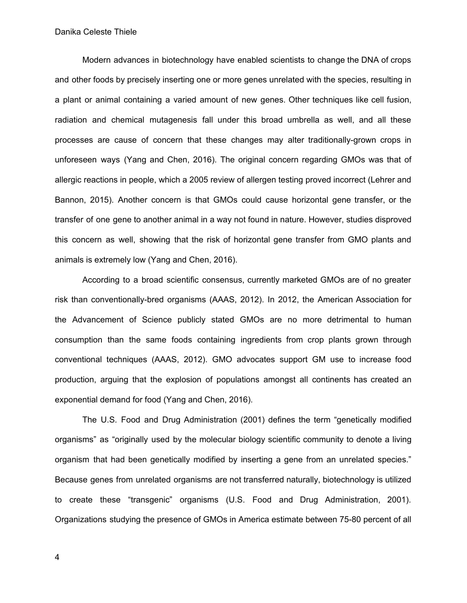Modern advances in biotechnology have enabled scientists to change the DNA of crops and other foods by precisely inserting one or more genes unrelated with the species, resulting in a plant or animal containing a varied amount of new genes. Other techniques like cell fusion, radiation and chemical mutagenesis fall under this broad umbrella as well, and all these processes are cause of concern that these changes may alter traditionally-grown crops in unforeseen ways (Yang and Chen, 2016). The original concern regarding GMOs was that of allergic reactions in people, which a 2005 review of allergen testing proved incorrect (Lehrer and Bannon, 2015). Another concern is that GMOs could cause horizontal gene transfer, or the transfer of one gene to another animal in a way not found in nature. However, studies disproved this concern as well, showing that the risk of horizontal gene transfer from GMO plants and animals is extremely low (Yang and Chen, 2016).

According to a broad scientific consensus, currently marketed GMOs are of no greater risk than conventionally-bred organisms (AAAS, 2012). In 2012, the American Association for the Advancement of Science publicly stated GMOs are no more detrimental to human consumption than the same foods containing ingredients from crop plants grown through conventional techniques (AAAS, 2012). GMO advocates support GM use to increase food production, arguing that the explosion of populations amongst all continents has created an exponential demand for food (Yang and Chen, 2016).

The U.S. Food and Drug Administration (2001) defines the term "genetically modified organisms" as "originally used by the molecular biology scientific community to denote a living organism that had been genetically modified by inserting a gene from an unrelated species." Because genes from unrelated organisms are not transferred naturally, biotechnology is utilized to create these "transgenic" organisms (U.S. Food and Drug Administration, 2001). Organizations studying the presence of GMOs in America estimate between 75-80 percent of all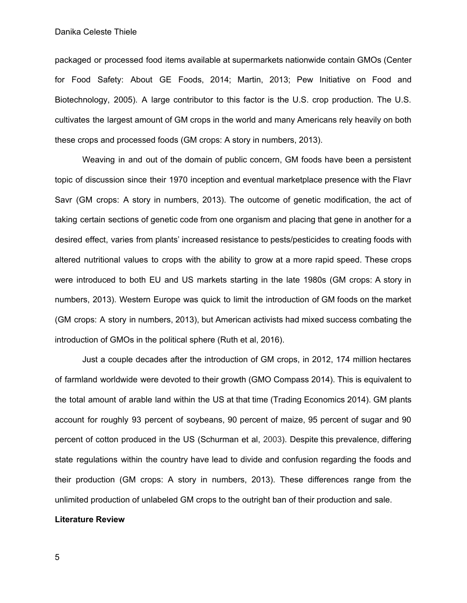packaged or processed food items available at supermarkets nationwide contain GMOs (Center for Food Safety: About GE Foods, 2014; Martin, 2013; Pew Initiative on Food and Biotechnology, 2005). A large contributor to this factor is the U.S. crop production. The U.S. cultivates the largest amount of GM crops in the world and many Americans rely heavily on both these crops and processed foods (GM crops: A story in numbers, 2013).

Weaving in and out of the domain of public concern, GM foods have been a persistent topic of discussion since their 1970 inception and eventual marketplace presence with the Flavr Savr (GM crops: A story in numbers, 2013). The outcome of genetic modification, the act of taking certain sections of genetic code from one organism and placing that gene in another for a desired effect, varies from plants' increased resistance to pests/pesticides to creating foods with altered nutritional values to crops with the ability to grow at a more rapid speed. These crops were introduced to both EU and US markets starting in the late 1980s (GM crops: A story in numbers, 2013). Western Europe was quick to limit the introduction of GM foods on the market (GM crops: A story in numbers, 2013), but American activists had mixed success combating the introduction of GMOs in the political sphere (Ruth et al, 2016).

Just a couple decades after the introduction of GM crops, in 2012, 174 million hectares of farmland worldwide were devoted to their growth (GMO Compass 2014). This is equivalent to the total amount of arable land within the US at that time (Trading Economics 2014). GM plants account for roughly 93 percent of soybeans, 90 percent of maize, 95 percent of sugar and 90 percent of cotton produced in the US (Schurman et al, 2003). Despite this prevalence, differing state regulations within the country have lead to divide and confusion regarding the foods and their production (GM crops: A story in numbers, 2013). These differences range from the unlimited production of unlabeled GM crops to the outright ban of their production and sale.

## **Literature Review**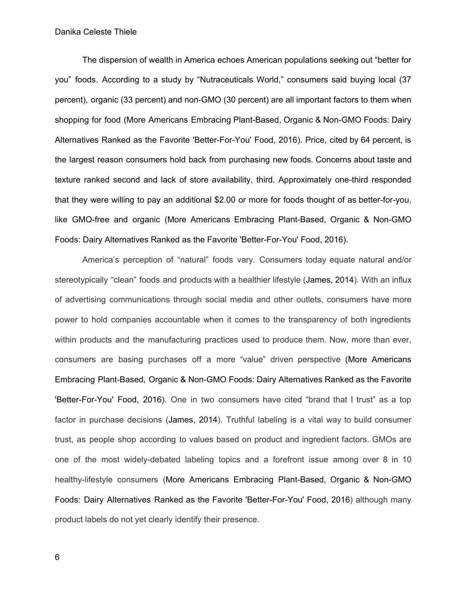The dispersion of wealth in America echoes American populations seeking out "better for you" foods. According to a study by "Nutraceuticals World," consumers said buying local (37 percent), organic (33 percent) and non-GMO (30 percent) are all important factors to them when shopping for food (More Americans Embracing Plant-Based, Organic & Non-GMO Foods: Dairy Alternatives Ranked as the Favorite 'Better-For-You' Food, 2016). Price, cited by 64 percent, is the largest reason consumers hold back from purchasing new foods. Concerns about taste and texture ranked second and lack of store availability, third. Approximately one-third responded that they were willing to pay an additional \$2.00 or more for foods thought of as better-for-you, like GMO-free and organic (More Americans Embracing Plant-Based, Organic & Non-GMO Foods: Dairy Alternatives Ranked as the Favorite 'Better-For-You' Food, 2016).

America's perception of "natural" foods vary. Consumers today equate natural and/or stereotypically "clean" foods and products with a healthier lifestyle (James, 2014). With an influx of advertising communications through social media and other outlets, consumers have more power to hold companies accountable when it comes to the transparency of both ingredients within products and the manufacturing practices used to produce them. Now, more than ever, consumers are basing purchases off a more "value" driven perspective (More Americans Embracing Plant-Based, Organic & Non-GMO Foods: Dairy Alternatives Ranked as the Favorite 'Better-For-You' Food, 2016). One in two consumers have cited "brand that I trust" as a top factor in purchase decisions (James, 2014). Truthful labeling is a vital way to build consumer trust, as people shop according to values based on product and ingredient factors. GMOs are one of the most widely-debated labeling topics and a forefront issue among over 8 in 10 healthy-lifestyle consumers (More Americans Embracing Plant-Based, Organic & Non-GMO Foods: Dairy Alternatives Ranked as the Favorite 'Better-For-You' Food, 2016) although many product labels do not yet clearly identify their presence.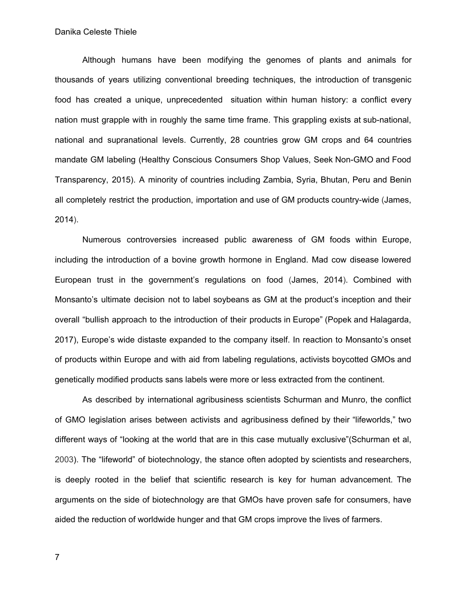Although humans have been modifying the genomes of plants and animals for thousands of years utilizing conventional breeding techniques, the introduction of transgenic food has created a unique, unprecedented situation within human history: a conflict every nation must grapple with in roughly the same time frame. This grappling exists at sub-national, national and supranational levels. Currently, 28 countries grow GM crops and 64 countries mandate GM labeling (Healthy Conscious [Consumers](http://marketlohas.weebly.com/views-blog/healthy-conscious-consumers-shop-values-seek-non-gmo-and-food-transparency-according-to-our-2015-market-lohas-mambotrack-survey) Shop Values, Seek Non-GMO and Food [Transparency,](http://marketlohas.weebly.com/views-blog/healthy-conscious-consumers-shop-values-seek-non-gmo-and-food-transparency-according-to-our-2015-market-lohas-mambotrack-survey) 2015). A minority of countries including Zambia, Syria, Bhutan, Peru and Benin all completely restrict the production, importation and use of GM products country-wide (James, 2014).

Numerous controversies increased public awareness of GM foods within Europe, including the introduction of a bovine growth hormone in England. Mad cow disease lowered European trust in the government's regulations on food (James, 2014). Combined with Monsanto's ultimate decision not to label soybeans as GM at the product's inception and their overall "bullish approach to the introduction of their products in Europe" (Popek and Halagarda, 2017), Europe's wide distaste expanded to the company itself. In reaction to Monsanto's onset of products within Europe and with aid from labeling regulations, activists boycotted GMOs and genetically modified products sans labels were more or less extracted from the continent.

As described by international agribusiness scientists Schurman and Munro, the conflict of GMO legislation arises between activists and agribusiness defined by their "lifeworlds," two different ways of "looking at the world that are in this case mutually exclusive"(Schurman et al, 2003). The "lifeworld" of biotechnology, the stance often adopted by scientists and researchers, is deeply rooted in the belief that scientific research is key for human advancement. The arguments on the side of biotechnology are that GMOs have proven safe for consumers, have aided the reduction of worldwide hunger and that GM crops improve the lives of farmers.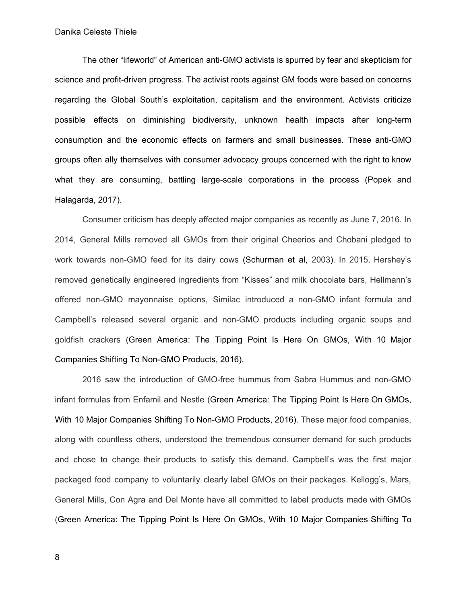The other "lifeworld" of American anti-GMO activists is spurred by fear and skepticism for science and profit-driven progress. The activist roots against GM foods were based on concerns regarding the Global South's exploitation, capitalism and the environment. Activists criticize possible effects on diminishing biodiversity, unknown health impacts after long-term consumption and the economic effects on farmers and small businesses. These anti-GMO groups often ally themselves with consumer advocacy groups concerned with the right to know what they are consuming, battling large-scale corporations in the process (Popek and Halagarda, 2017).

Consumer criticism has deeply affected major companies as recently as June 7, 2016. In 2014, General Mills removed all GMOs from their original Cheerios and Chobani pledged to work towards non-GMO feed for its dairy cows (Schurman et al, 2003). In 2015, Hershey's removed genetically engineered ingredients from "Kisses" and milk chocolate bars, Hellmann's offered non-GMO mayonnaise options, Similac introduced a non-GMO infant formula and Campbell's released several organic and non-GMO products including organic soups and goldfish crackers (Green America: The Tipping Point Is Here On GMOs, With 10 Major Companies Shifting To Non-GMO Products, 2016).

2016 saw the introduction of GMO-free hummus from Sabra Hummus and non-GMO infant formulas from Enfamil and Nestle (Green America: The Tipping Point Is Here On GMOs, With 10 Major Companies Shifting To Non-GMO Products, 2016). These major food companies, along with countless others, understood the tremendous consumer demand for such products and chose to change their products to satisfy this demand. Campbell's was the first major packaged food company to voluntarily clearly label GMOs on their packages. Kellogg's, Mars, General Mills, Con Agra and Del Monte have all committed to label products made with GMOs (Green America: The Tipping Point Is Here On GMOs, With 10 Major Companies Shifting To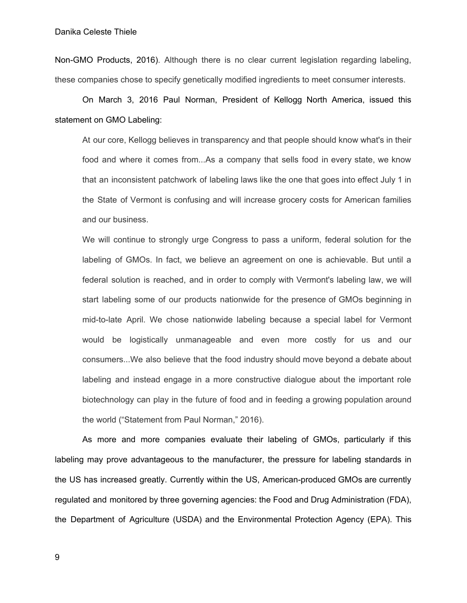Non-GMO Products, 2016). Although there is no clear current legislation regarding labeling, these companies chose to specify genetically modified ingredients to meet consumer interests.

On March 3, 2016 Paul Norman, President of Kellogg North America, issued this statement on GMO Labeling:

At our core, Kellogg believes in transparency and that people should know what's in their food and where it comes from...As a company that sells food in every state, we know that an inconsistent patchwork of labeling laws like the one that goes into effect July 1 in the State of Vermont is confusing and will increase grocery costs for American families and our business.

We will continue to strongly urge Congress to pass a uniform, federal solution for the labeling of GMOs. In fact, we believe an agreement on one is achievable. But until a federal solution is reached, and in order to comply with Vermont's labeling law, we will start labeling some of our products nationwide for the presence of GMOs beginning in mid-to-late April. We chose nationwide labeling because a special label for Vermont would be logistically unmanageable and even more costly for us and our consumers...We also believe that the food industry should move beyond a debate about labeling and instead engage in a more constructive dialogue about the important role biotechnology can play in the future of food and in feeding a growing population around the world ("Statement from Paul Norman," 2016).

As more and more companies evaluate their labeling of GMOs, particularly if this labeling may prove advantageous to the manufacturer, the pressure for labeling standards in the US has increased greatly. Currently within the US, American-produced GMOs are currently regulated and monitored by three governing agencies: the Food and Drug Administration (FDA), the Department of Agriculture (USDA) and the Environmental Protection Agency (EPA). This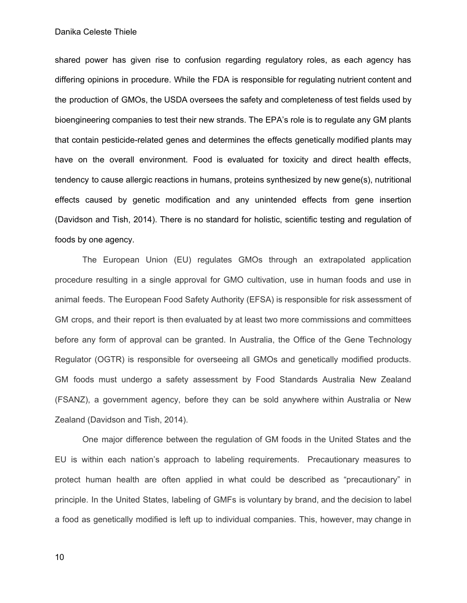shared power has given rise to confusion regarding regulatory roles, as each agency has differing opinions in procedure. While the FDA is responsible for regulating nutrient content and the production of GMOs, the USDA oversees the safety and completeness of test fields used by bioengineering companies to test their new strands. The EPA's role is to regulate any GM plants that contain pesticide-related genes and determines the effects genetically modified plants may have on the overall environment. Food is evaluated for toxicity and direct health effects, tendency to cause allergic reactions in humans, proteins synthesized by new gene(s), nutritional effects caused by genetic modification and any unintended effects from gene insertion (Davidson and Tish, 2014). There is no standard for holistic, scientific testing and regulation of foods by one agency.

The European Union (EU) regulates GMOs through an extrapolated application procedure resulting in a single approval for GMO cultivation, use in human foods and use in animal feeds. The European Food Safety Authority (EFSA) is responsible for risk assessment of GM crops, and their report is then evaluated by at least two more commissions and committees before any form of approval can be granted. In Australia, the Office of the Gene Technology Regulator (OGTR) is responsible for overseeing all GMOs and genetically modified products. GM foods must undergo a safety assessment by Food Standards Australia New Zealand (FSANZ), a government agency, before they can be sold anywhere within Australia or New Zealand (Davidson and Tish, 2014).

One major difference between the regulation of GM foods in the United States and the EU is within each nation's approach to labeling requirements. Precautionary measures to protect human health are often applied in what could be described as "precautionary" in principle. In the United States, labeling of GMFs is voluntary by brand, and the decision to label a food as genetically modified is left up to individual companies. This, however, may change in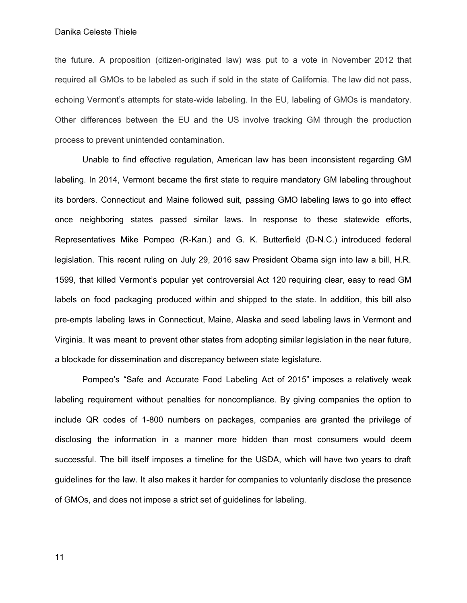the future. A proposition (citizen-originated law) was put to a vote in November 2012 that required all GMOs to be labeled as such if sold in the state of California. The law did not pass, echoing Vermont's attempts for state-wide labeling. In the EU, labeling of GMOs is mandatory. Other differences between the EU and the US involve tracking GM through the production process to prevent unintended contamination.

Unable to find effective regulation, American law has been inconsistent regarding GM labeling. In 2014, Vermont became the first state to require mandatory GM labeling throughout its borders. Connecticut and Maine followed suit, passing GMO labeling laws to go into effect once neighboring states passed similar laws. In response to these statewide efforts, Representatives Mike Pompeo (R-Kan.) and G. K. Butterfield (D-N.C.) introduced federal legislation. This recent ruling on July 29, 2016 saw President Obama sign into law a bill, H.R. 1599, that killed Vermont's popular yet controversial Act 120 requiring clear, easy to read GM labels on food packaging produced within and shipped to the state. In addition, this bill also pre-empts labeling laws in Connecticut, Maine, Alaska and seed labeling laws in Vermont and Virginia. It was meant to prevent other states from adopting similar legislation in the near future, a blockade for dissemination and discrepancy between state legislature.

Pompeo's "Safe and Accurate Food Labeling Act of 2015" imposes a relatively weak labeling requirement without penalties for noncompliance. By giving companies the option to include QR codes of 1-800 numbers on packages, companies are granted the privilege of disclosing the information in a manner more hidden than most consumers would deem successful. The bill itself imposes a timeline for the USDA, which will have two years to draft guidelines for the law. It also makes it harder for companies to voluntarily disclose the presence of GMOs, and does not impose a strict set of guidelines for labeling.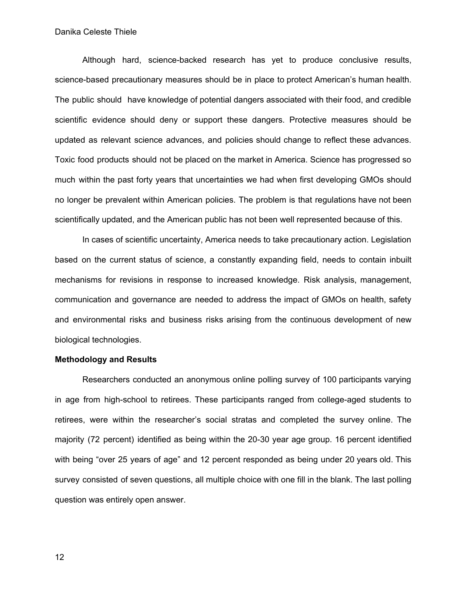Although hard, science-backed research has yet to produce conclusive results, science-based precautionary measures should be in place to protect American's human health. The public should have knowledge of potential dangers associated with their food, and credible scientific evidence should deny or support these dangers. Protective measures should be updated as relevant science advances, and policies should change to reflect these advances. Toxic food products should not be placed on the market in America. Science has progressed so much within the past forty years that uncertainties we had when first developing GMOs should no longer be prevalent within American policies. The problem is that regulations have not been scientifically updated, and the American public has not been well represented because of this.

In cases of scientific uncertainty, America needs to take precautionary action. Legislation based on the current status of science, a constantly expanding field, needs to contain inbuilt mechanisms for revisions in response to increased knowledge. Risk analysis, management, communication and governance are needed to address the impact of GMOs on health, safety and environmental risks and business risks arising from the continuous development of new biological technologies.

## **Methodology and Results**

Researchers conducted an anonymous online polling survey of 100 participants varying in age from high-school to retirees. These participants ranged from college-aged students to retirees, were within the researcher's social stratas and completed the survey online. The majority (72 percent) identified as being within the 20-30 year age group. 16 percent identified with being "over 25 years of age" and 12 percent responded as being under 20 years old. This survey consisted of seven questions, all multiple choice with one fill in the blank. The last polling question was entirely open answer.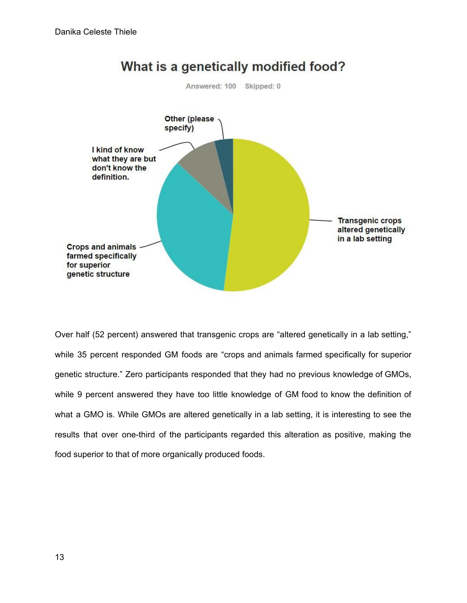

What is a genetically modified food?

Over half (52 percent) answered that transgenic crops are "altered genetically in a lab setting," while 35 percent responded GM foods are "crops and animals farmed specifically for superior genetic structure." Zero participants responded that they had no previous knowledge of GMOs, while 9 percent answered they have too little knowledge of GM food to know the definition of what a GMO is. While GMOs are altered genetically in a lab setting, it is interesting to see the results that over one-third of the participants regarded this alteration as positive, making the food superior to that of more organically produced foods.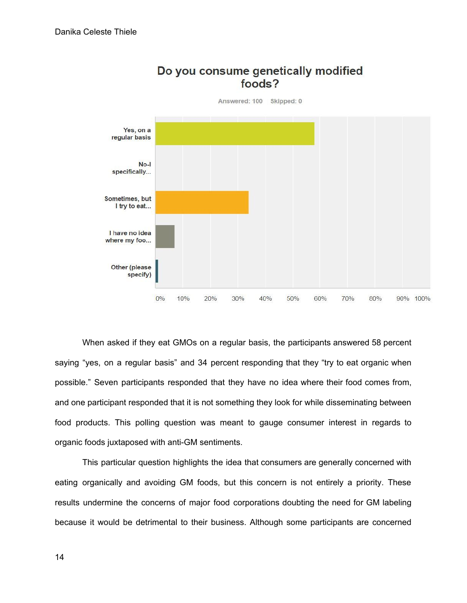

Do you consume genetically modified foods?

When asked if they eat GMOs on a regular basis, the participants answered 58 percent saying "yes, on a regular basis" and 34 percent responding that they "try to eat organic when possible." Seven participants responded that they have no idea where their food comes from, and one participant responded that it is not something they look for while disseminating between food products. This polling question was meant to gauge consumer interest in regards to organic foods juxtaposed with anti-GM sentiments.

This particular question highlights the idea that consumers are generally concerned with eating organically and avoiding GM foods, but this concern is not entirely a priority. These results undermine the concerns of major food corporations doubting the need for GM labeling because it would be detrimental to their business. Although some participants are concerned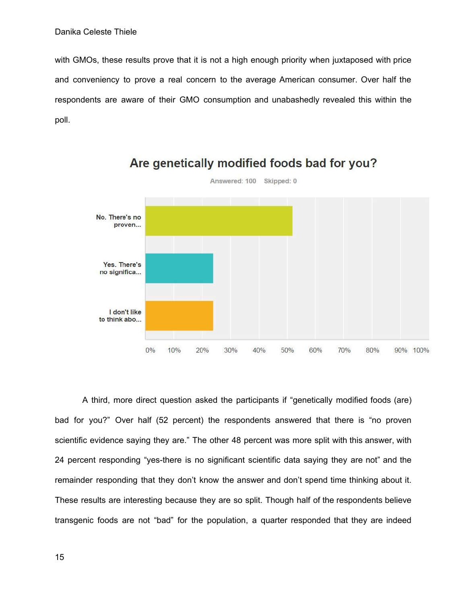with GMOs, these results prove that it is not a high enough priority when juxtaposed with price and conveniency to prove a real concern to the average American consumer. Over half the respondents are aware of their GMO consumption and unabashedly revealed this within the poll.



Are genetically modified foods bad for you?

A third, more direct question asked the participants if "genetically modified foods (are) bad for you?" Over half (52 percent) the respondents answered that there is "no proven scientific evidence saying they are." The other 48 percent was more split with this answer, with 24 percent responding "yes-there is no significant scientific data saying they are not" and the remainder responding that they don't know the answer and don't spend time thinking about it. These results are interesting because they are so split. Though half of the respondents believe transgenic foods are not "bad" for the population, a quarter responded that they are indeed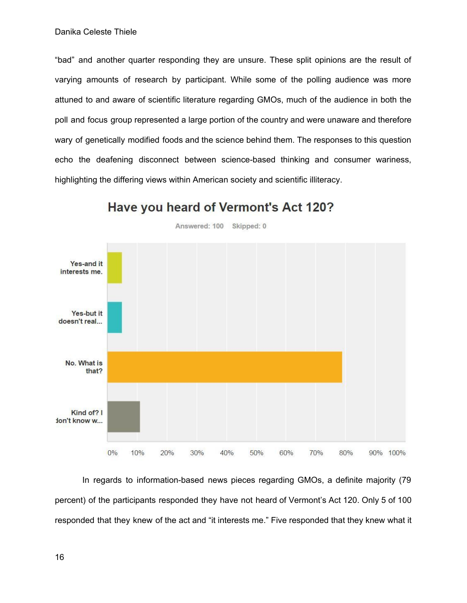"bad" and another quarter responding they are unsure. These split opinions are the result of varying amounts of research by participant. While some of the polling audience was more attuned to and aware of scientific literature regarding GMOs, much of the audience in both the poll and focus group represented a large portion of the country and were unaware and therefore wary of genetically modified foods and the science behind them. The responses to this question echo the deafening disconnect between science-based thinking and consumer wariness, highlighting the differing views within American society and scientific illiteracy.



## Have you heard of Vermont's Act 120?

Answered: 100 Skipped: 0

In regards to information-based news pieces regarding GMOs, a definite majority (79 percent) of the participants responded they have not heard of Vermont's Act 120. Only 5 of 100 responded that they knew of the act and "it interests me." Five responded that they knew what it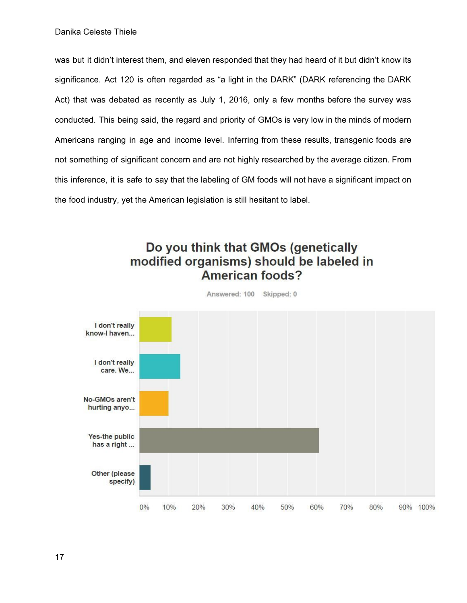was but it didn't interest them, and eleven responded that they had heard of it but didn't know its significance. Act 120 is often regarded as "a light in the DARK" (DARK referencing the DARK Act) that was debated as recently as July 1, 2016, only a few months before the survey was conducted. This being said, the regard and priority of GMOs is very low in the minds of modern Americans ranging in age and income level. Inferring from these results, transgenic foods are not something of significant concern and are not highly researched by the average citizen. From this inference, it is safe to say that the labeling of GM foods will not have a significant impact on the food industry, yet the American legislation is still hesitant to label.

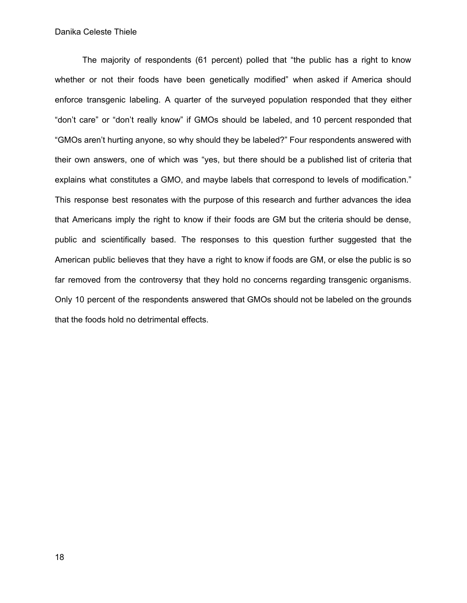The majority of respondents (61 percent) polled that "the public has a right to know whether or not their foods have been genetically modified" when asked if America should enforce transgenic labeling. A quarter of the surveyed population responded that they either "don't care" or "don't really know" if GMOs should be labeled, and 10 percent responded that "GMOs aren't hurting anyone, so why should they be labeled?" Four respondents answered with their own answers, one of which was "yes, but there should be a published list of criteria that explains what constitutes a GMO, and maybe labels that correspond to levels of modification." This response best resonates with the purpose of this research and further advances the idea that Americans imply the right to know if their foods are GM but the criteria should be dense, public and scientifically based. The responses to this question further suggested that the American public believes that they have a right to know if foods are GM, or else the public is so far removed from the controversy that they hold no concerns regarding transgenic organisms. Only 10 percent of the respondents answered that GMOs should not be labeled on the grounds that the foods hold no detrimental effects.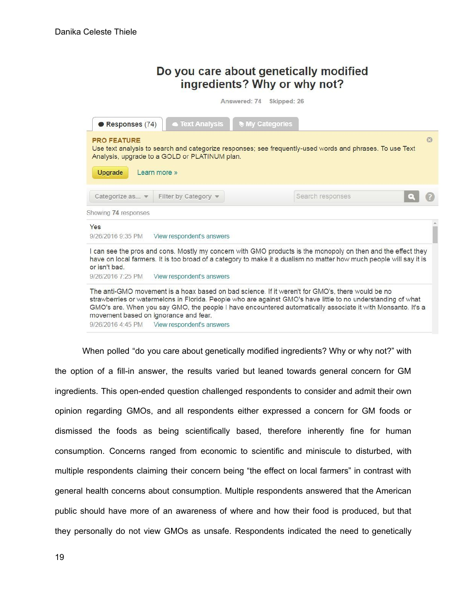| Do you care about genetically modified |
|----------------------------------------|
| ingredients? Why or why not?           |

Answered: 74 Skipped: 26

| Responses (74)                       | <b>Text Analysis</b>                                                                                                                                                                                                                                                                                                                                                                                                       | <b>My Categories</b> |                  |    |
|--------------------------------------|----------------------------------------------------------------------------------------------------------------------------------------------------------------------------------------------------------------------------------------------------------------------------------------------------------------------------------------------------------------------------------------------------------------------------|----------------------|------------------|----|
| <b>PRO FEATURE</b><br><b>Upgrade</b> | Use text analysis to search and categorize responses; see frequently-used words and phrases. To use Text<br>Analysis, upgrade to a GOLD or PLATINUM plan.<br>Learn more »                                                                                                                                                                                                                                                  |                      |                  | 63 |
| Categorize as $\blacktriangledown$   | Filter by Category v                                                                                                                                                                                                                                                                                                                                                                                                       |                      | Search responses |    |
| Showing 74 responses                 |                                                                                                                                                                                                                                                                                                                                                                                                                            |                      |                  |    |
| Yes<br>9/26/2016 9:35 PM             | View respondent's answers                                                                                                                                                                                                                                                                                                                                                                                                  |                      |                  |    |
| or isn't bad.                        | I can see the pros and cons. Mostly my concern with GMO products is the monopoly on then and the effect they<br>have on local farmers. It is too broad of a category to make it a dualism no matter how much people will say it is                                                                                                                                                                                         |                      |                  |    |
| 9/26/2016 7:25 PM                    | View respondent's answers                                                                                                                                                                                                                                                                                                                                                                                                  |                      |                  |    |
|                                      | The anti-GMO movement is a hoax based on bad science. If it weren't for GMO's, there would be no<br>strawberries or watermelons in Florida. People who are against GMO's have little to no understanding of what<br>GMO's are. When you say GMO, the people I have encountered automatically associate it with Monsanto. It's a<br>movement based on ignorance and fear.<br>9/26/2016 4:45 PM    View respondent's answers |                      |                  |    |

When polled "do you care about genetically modified ingredients? Why or why not?" with the option of a fill-in answer, the results varied but leaned towards general concern for GM ingredients. This open-ended question challenged respondents to consider and admit their own opinion regarding GMOs, and all respondents either expressed a concern for GM foods or dismissed the foods as being scientifically based, therefore inherently fine for human consumption. Concerns ranged from economic to scientific and miniscule to disturbed, with multiple respondents claiming their concern being "the effect on local farmers" in contrast with general health concerns about consumption. Multiple respondents answered that the American public should have more of an awareness of where and how their food is produced, but that they personally do not view GMOs as unsafe. Respondents indicated the need to genetically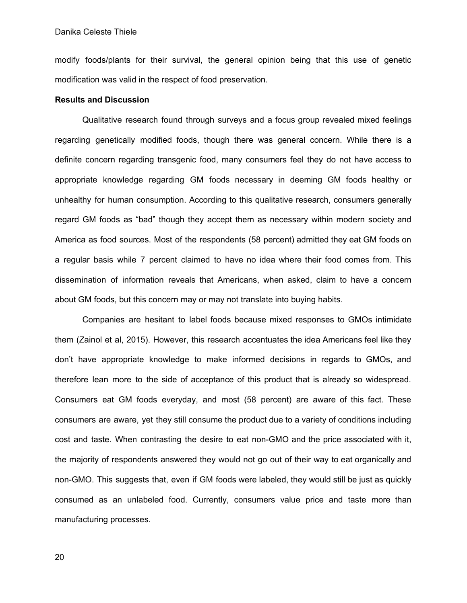modify foods/plants for their survival, the general opinion being that this use of genetic modification was valid in the respect of food preservation.

## **Results and Discussion**

Qualitative research found through surveys and a focus group revealed mixed feelings regarding genetically modified foods, though there was general concern. While there is a definite concern regarding transgenic food, many consumers feel they do not have access to appropriate knowledge regarding GM foods necessary in deeming GM foods healthy or unhealthy for human consumption. According to this qualitative research, consumers generally regard GM foods as "bad" though they accept them as necessary within modern society and America as food sources. Most of the respondents (58 percent) admitted they eat GM foods on a regular basis while 7 percent claimed to have no idea where their food comes from. This dissemination of information reveals that Americans, when asked, claim to have a concern about GM foods, but this concern may or may not translate into buying habits.

Companies are hesitant to label foods because mixed responses to GMOs intimidate them (Zainol et al, 2015). However, this research accentuates the idea Americans feel like they don't have appropriate knowledge to make informed decisions in regards to GMOs, and therefore lean more to the side of acceptance of this product that is already so widespread. Consumers eat GM foods everyday, and most (58 percent) are aware of this fact. These consumers are aware, yet they still consume the product due to a variety of conditions including cost and taste. When contrasting the desire to eat non-GMO and the price associated with it, the majority of respondents answered they would not go out of their way to eat organically and non-GMO. This suggests that, even if GM foods were labeled, they would still be just as quickly consumed as an unlabeled food. Currently, consumers value price and taste more than manufacturing processes.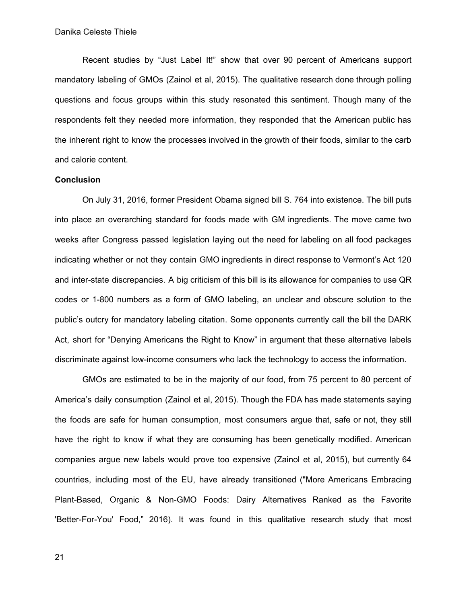Recent studies by "Just Label It!" show that over 90 percent of Americans support mandatory labeling of GMOs (Zainol et al, 2015). The qualitative research done through polling questions and focus groups within this study resonated this sentiment. Though many of the respondents felt they needed more information, they responded that the American public has the inherent right to know the processes involved in the growth of their foods, similar to the carb and calorie content.

## **Conclusion**

On July 31, 2016, former President Obama signed bill S. 764 into existence. The bill puts into place an overarching standard for foods made with GM ingredients. The move came two weeks after Congress passed legislation laying out the need for labeling on all food packages indicating whether or not they contain GMO ingredients in direct response to Vermont's Act 120 and inter-state discrepancies. A big criticism of this bill is its allowance for companies to use QR codes or 1-800 numbers as a form of GMO labeling, an unclear and obscure solution to the public's outcry for mandatory labeling citation. Some opponents currently call the bill the DARK Act, short for "Denying Americans the Right to Know" in argument that these alternative labels discriminate against low-income consumers who lack the technology to access the information.

GMOs are estimated to be in the majority of our food, from 75 percent to 80 percent of America's daily consumption (Zainol et al, 2015). Though the FDA has made statements saying the foods are safe for human consumption, most consumers argue that, safe or not, they still have the right to know if what they are consuming has been genetically modified. American companies argue new labels would prove too expensive (Zainol et al, 2015), but currently 64 countries, including most of the EU, have already transitioned ("More Americans Embracing Plant-Based, Organic & Non-GMO Foods: Dairy Alternatives Ranked as the Favorite 'Better-For-You' Food," 2016). It was found in this qualitative research study that most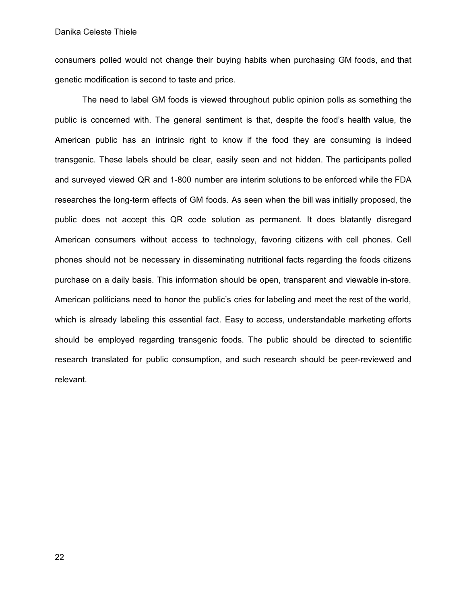consumers polled would not change their buying habits when purchasing GM foods, and that genetic modification is second to taste and price.

The need to label GM foods is viewed throughout public opinion polls as something the public is concerned with. The general sentiment is that, despite the food's health value, the American public has an intrinsic right to know if the food they are consuming is indeed transgenic. These labels should be clear, easily seen and not hidden. The participants polled and surveyed viewed QR and 1-800 number are interim solutions to be enforced while the FDA researches the long-term effects of GM foods. As seen when the bill was initially proposed, the public does not accept this QR code solution as permanent. It does blatantly disregard American consumers without access to technology, favoring citizens with cell phones. Cell phones should not be necessary in disseminating nutritional facts regarding the foods citizens purchase on a daily basis. This information should be open, transparent and viewable in-store. American politicians need to honor the public's cries for labeling and meet the rest of the world, which is already labeling this essential fact. Easy to access, understandable marketing efforts should be employed regarding transgenic foods. The public should be directed to scientific research translated for public consumption, and such research should be peer-reviewed and relevant.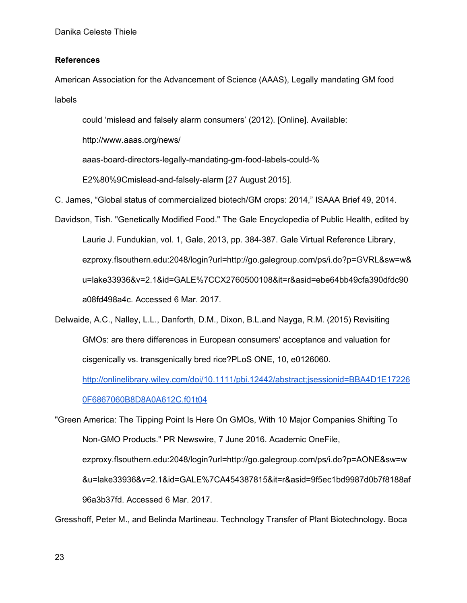## **References**

American Association for the Advancement of Science (AAAS), Legally mandating GM food labels

could 'mislead and falsely alarm consumers' (2012). [Online]. Available:

http://www.aaas.org/news/

aaas-board-directors-legally-mandating-gm-food-labels-could-%

E2%80%9Cmislead-and-falsely-alarm [27 August 2015].

C. James, "Global status of commercialized biotech/GM crops: 2014," ISAAA Brief 49, 2014.

Davidson, Tish. "Genetically Modified Food." The Gale Encyclopedia of Public Health, edited by Laurie J. Fundukian, vol. 1, Gale, 2013, pp. 384-387. Gale Virtual Reference Library, ezproxy.flsouthern.edu:2048/login?url=http://go.galegroup.com/ps/i.do?p=GVRL&sw=w& u=lake33936&v=2.1&id=GALE%7CCX2760500108&it=r&asid=ebe64bb49cfa390dfdc90 a08fd498a4c. Accessed 6 Mar. 2017.

Delwaide, A.C., Nalley, L.L., Danforth, D.M., Dixon, B.L.and Nayga, R.M. (2015) Revisiting GMOs: are there differences in European consumers' acceptance and valuation for cisgenically vs. transgenically bred rice?PLoS ONE, 10, e0126060.

[http://onlinelibrary.wiley.com/doi/10.1111/pbi.12442/abstract;jsessionid=BBA4D1E17226](http://onlinelibrary.wiley.com/doi/10.1111/pbi.12442/abstract;jsessionid=BBA4D1E172260F6867060B8D8A0A612C.f01t04)

[0F6867060B8D8A0A612C.f01t04](http://onlinelibrary.wiley.com/doi/10.1111/pbi.12442/abstract;jsessionid=BBA4D1E172260F6867060B8D8A0A612C.f01t04)

"Green America: The Tipping Point Is Here On GMOs, With 10 Major Companies Shifting To Non-GMO Products." PR Newswire, 7 June 2016. Academic OneFile, ezproxy.flsouthern.edu:2048/login?url=http://go.galegroup.com/ps/i.do?p=AONE&sw=w &u=lake33936&v=2.1&id=GALE%7CA454387815&it=r&asid=9f5ec1bd9987d0b7f8188af 96a3b37fd. Accessed 6 Mar. 2017.

Gresshoff, Peter M., and Belinda Martineau. Technology Transfer of Plant Biotechnology. Boca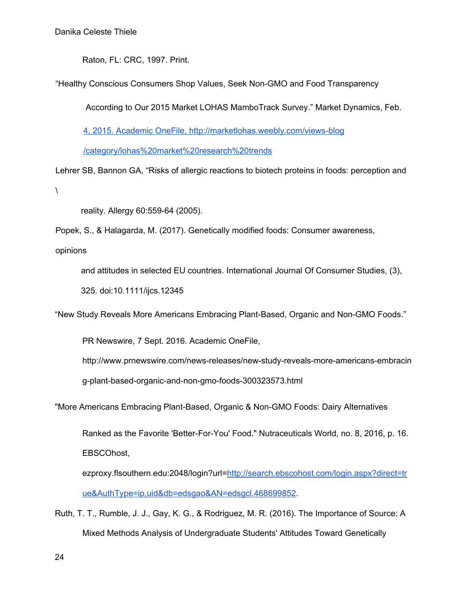Raton, FL: CRC, 1997. Print.

"Healthy Conscious Consumers Shop Values, Seek Non-GMO and Food [Transparency](http://marketlohas.weebly.com/views-blog/healthy-conscious-consumers-shop-values-seek-non-gmo-and-food-transparency-according-to-our-2015-market-lohas-mambotrack-survey)

According to Our 2015 Market LOHAS [MamboTrack](http://marketlohas.weebly.com/views-blog/healthy-conscious-consumers-shop-values-seek-non-gmo-and-food-transparency-according-to-our-2015-market-lohas-mambotrack-survey) Survey." Market Dynamics, Feb.

4, 2015. [Academic](http://marketlohas.weebly.com/views-blog/healthy-conscious-consumers-shop-values-seek-non-gmo-and-food-transparency-according-to-our-2015-market-lohas-mambotrack-survey) OneFile, <http://marketlohas.weebly.com/views-blog>

[/category/lohas%20market%20research%20trends](http://marketlohas.weebly.com/views-blog/healthy-conscious-consumers-shop-values-seek-non-gmo-and-food-transparency-according-to-our-2015-market-lohas-mambotrack-survey)

Lehrer SB, Bannon GA, "Risks of allergic reactions to biotech proteins in foods: perception and  $\lambda$ 

reality. Allergy 60:559-64 (2005).

Popek, S., & Halagarda, M. (2017). Genetically modified foods: Consumer awareness,

opinions

and attitudes in selected EU countries. International Journal Of Consumer Studies, (3),

325. doi:10.1111/ijcs.12345

"New Study Reveals More Americans Embracing Plant-Based, Organic and Non-GMO Foods."

PR Newswire, 7 Sept. 2016. Academic OneFile,

http://www.prnewswire.com/news-releases/new-study-reveals-more-americans-embracin

g-plant-based-organic-and-non-gmo-foods-300323573.html

"More Americans Embracing Plant-Based, Organic & Non-GMO Foods: Dairy Alternatives

Ranked as the Favorite 'Better-For-You' Food." Nutraceuticals World, no. 8, 2016, p. 16. EBSCOhost,

ezproxy.flsouthern.edu:2048/login?url[=http://search.ebscohost.com/login.aspx?direct=tr](http://search.ebscohost.com/login.aspx?direct=true&AuthType=ip,uid&db=edsgao&AN=edsgcl.468699852) [ue&AuthType=ip,uid&db=edsgao&AN=edsgcl.468699852](http://search.ebscohost.com/login.aspx?direct=true&AuthType=ip,uid&db=edsgao&AN=edsgcl.468699852).

Ruth, T. T., Rumble, J. J., Gay, K. G., & Rodriguez, M. R. (2016). The Importance of Source: A Mixed Methods Analysis of Undergraduate Students' Attitudes Toward Genetically